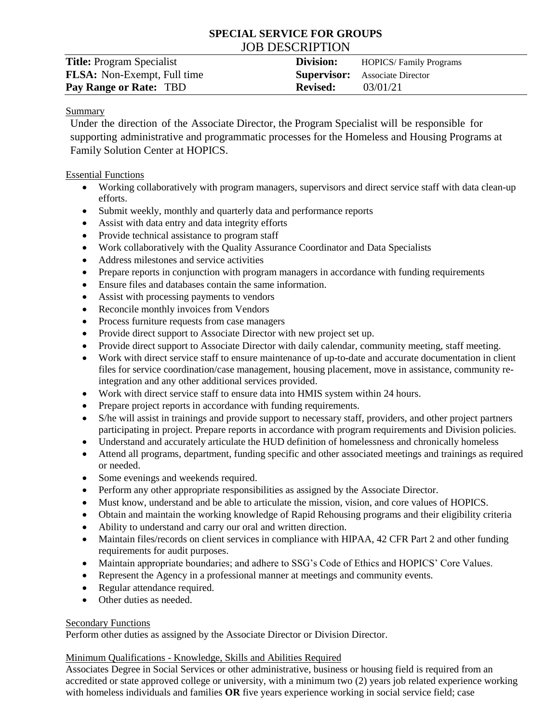# **SPECIAL SERVICE FOR GROUPS** JOB DESCRIPTION

| <b>Title:</b> Program Specialist   | Division:       | <b>HOPICS/Family Programs</b>         |
|------------------------------------|-----------------|---------------------------------------|
| <b>FLSA:</b> Non-Exempt, Full time |                 | <b>Supervisor:</b> Associate Director |
| Pay Range or Rate: TBD             | <b>Revised:</b> | 03/01/21                              |

### Summary

Under the direction of the Associate Director, the Program Specialist will be responsible for supporting administrative and programmatic processes for the Homeless and Housing Programs at Family Solution Center at HOPICS.

Essential Functions

- Working collaboratively with program managers, supervisors and direct service staff with data clean-up efforts.
- Submit weekly, monthly and quarterly data and performance reports
- Assist with data entry and data integrity efforts
- Provide technical assistance to program staff
- Work collaboratively with the Quality Assurance Coordinator and Data Specialists
- Address milestones and service activities
- Prepare reports in conjunction with program managers in accordance with funding requirements
- Ensure files and databases contain the same information.
- Assist with processing payments to vendors
- Reconcile monthly invoices from Vendors
- Process furniture requests from case managers
- Provide direct support to Associate Director with new project set up.
- Provide direct support to Associate Director with daily calendar, community meeting, staff meeting.
- Work with direct service staff to ensure maintenance of up-to-date and accurate documentation in client files for service coordination/case management, housing placement, move in assistance, community reintegration and any other additional services provided.
- Work with direct service staff to ensure data into HMIS system within 24 hours.
- Prepare project reports in accordance with funding requirements.
- S/he will assist in trainings and provide support to necessary staff, providers, and other project partners participating in project. Prepare reports in accordance with program requirements and Division policies.
- Understand and accurately articulate the HUD definition of homelessness and chronically homeless
- Attend all programs, department, funding specific and other associated meetings and trainings as required or needed.
- Some evenings and weekends required.
- Perform any other appropriate responsibilities as assigned by the Associate Director.
- Must know, understand and be able to articulate the mission, vision, and core values of HOPICS.
- Obtain and maintain the working knowledge of Rapid Rehousing programs and their eligibility criteria
- Ability to understand and carry our oral and written direction.
- Maintain files/records on client services in compliance with HIPAA, 42 CFR Part 2 and other funding requirements for audit purposes.
- Maintain appropriate boundaries; and adhere to SSG's Code of Ethics and HOPICS' Core Values.
- Represent the Agency in a professional manner at meetings and community events.
- Regular attendance required.
- Other duties as needed.

### Secondary Functions

Perform other duties as assigned by the Associate Director or Division Director.

## Minimum Qualifications - Knowledge, Skills and Abilities Required

Associates Degree in Social Services or other administrative, business or housing field is required from an accredited or state approved college or university, with a minimum two (2) years job related experience working with homeless individuals and families **OR** five years experience working in social service field; case